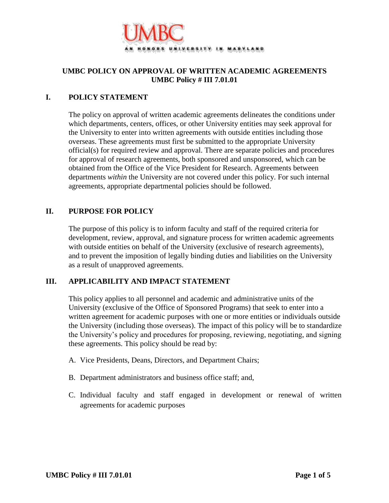

# **UMBC POLICY ON APPROVAL OF WRITTEN ACADEMIC AGREEMENTS UMBC Policy # III 7.01.01**

## **I. POLICY STATEMENT**

The policy on approval of written academic agreements delineates the conditions under which departments, centers, offices, or other University entities may seek approval for the University to enter into written agreements with outside entities including those overseas. These agreements must first be submitted to the appropriate University official(s) for required review and approval. There are separate policies and procedures for approval of research agreements, both sponsored and unsponsored, which can be obtained from the Office of the Vice President for Research. Agreements between departments *within* the University are not covered under this policy. For such internal agreements, appropriate departmental policies should be followed.

## **II. PURPOSE FOR POLICY**

The purpose of this policy is to inform faculty and staff of the required criteria for development, review, approval, and signature process for written academic agreements with outside entities on behalf of the University (exclusive of research agreements), and to prevent the imposition of legally binding duties and liabilities on the University as a result of unapproved agreements.

#### **III. APPLICABILITY AND IMPACT STATEMENT**

This policy applies to all personnel and academic and administrative units of the University (exclusive of the Office of Sponsored Programs) that seek to enter into a written agreement for academic purposes with one or more entities or individuals outside the University (including those overseas). The impact of this policy will be to standardize the University's policy and procedures for proposing, reviewing, negotiating, and signing these agreements. This policy should be read by:

- A. Vice Presidents, Deans, Directors, and Department Chairs;
- B. Department administrators and business office staff; and,
- C. Individual faculty and staff engaged in development or renewal of written agreements for academic purposes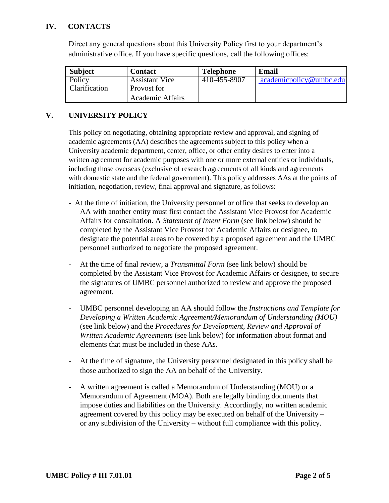## **IV. CONTACTS**

Direct any general questions about this University Policy first to your department's administrative office. If you have specific questions, call the following offices:

| <b>Subject</b> | Contact                 | <b>Telephone</b> | Email                   |
|----------------|-------------------------|------------------|-------------------------|
| Policy         | <b>Assistant Vice</b>   | 410-455-8907     | academicpolicy@umbc.edu |
| Clarification  | Provost for             |                  |                         |
|                | <b>Academic Affairs</b> |                  |                         |

## **V. UNIVERSITY POLICY**

This policy on negotiating, obtaining appropriate review and approval, and signing of academic agreements (AA) describes the agreements subject to this policy when a University academic department, center, office, or other entity desires to enter into a written agreement for academic purposes with one or more external entities or individuals, including those overseas (exclusive of research agreements of all kinds and agreements with domestic state and the federal government). This policy addresses AAs at the points of initiation, negotiation, review, final approval and signature, as follows:

- At the time of initiation, the University personnel or office that seeks to develop an AA with another entity must first contact the Assistant Vice Provost for Academic Affairs for consultation. A *Statement of Intent Form* (see link below) should be completed by the Assistant Vice Provost for Academic Affairs or designee, to designate the potential areas to be covered by a proposed agreement and the UMBC personnel authorized to negotiate the proposed agreement.
- At the time of final review, a *Transmittal Form* (see link below) should be completed by the Assistant Vice Provost for Academic Affairs or designee, to secure the signatures of UMBC personnel authorized to review and approve the proposed agreement.
- UMBC personnel developing an AA should follow the *Instructions and Template for Developing a Written Academic Agreement/Memorandum of Understanding (MOU)*  (see link below) and the *Procedures for Development, Review and Approval of Written Academic Agreements* (see link below) for information about format and elements that must be included in these AAs.
- At the time of signature, the University personnel designated in this policy shall be those authorized to sign the AA on behalf of the University.
- A written agreement is called a Memorandum of Understanding (MOU) or a Memorandum of Agreement (MOA). Both are legally binding documents that impose duties and liabilities on the University. Accordingly, no written academic agreement covered by this policy may be executed on behalf of the University – or any subdivision of the University – without full compliance with this policy.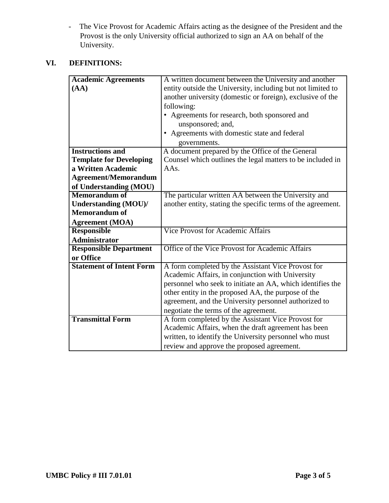- The Vice Provost for Academic Affairs acting as the designee of the President and the Provost is the only University official authorized to sign an AA on behalf of the University.

# **VI. DEFINITIONS:**

| <b>Academic Agreements</b>      | A written document between the University and another        |  |
|---------------------------------|--------------------------------------------------------------|--|
| (AA)                            | entity outside the University, including but not limited to  |  |
|                                 | another university (domestic or foreign), exclusive of the   |  |
|                                 | following:                                                   |  |
|                                 | • Agreements for research, both sponsored and                |  |
|                                 | unsponsored; and,                                            |  |
|                                 | • Agreements with domestic state and federal                 |  |
|                                 | governments.                                                 |  |
| <b>Instructions and</b>         | A document prepared by the Office of the General             |  |
| <b>Template for Developing</b>  | Counsel which outlines the legal matters to be included in   |  |
| a Written Academic              | AAs.                                                         |  |
| <b>Agreement/Memorandum</b>     |                                                              |  |
| of Understanding (MOU)          |                                                              |  |
| <b>Memorandum of</b>            | The particular written AA between the University and         |  |
| <b>Understanding (MOU)/</b>     | another entity, stating the specific terms of the agreement. |  |
| <b>Memorandum of</b>            |                                                              |  |
| <b>Agreement</b> (MOA)          |                                                              |  |
| <b>Responsible</b>              | <b>Vice Provost for Academic Affairs</b>                     |  |
| <b>Administrator</b>            |                                                              |  |
| <b>Responsible Department</b>   | Office of the Vice Provost for Academic Affairs              |  |
| or Office                       |                                                              |  |
| <b>Statement of Intent Form</b> | A form completed by the Assistant Vice Provost for           |  |
|                                 | Academic Affairs, in conjunction with University             |  |
|                                 | personnel who seek to initiate an AA, which identifies the   |  |
|                                 | other entity in the proposed AA, the purpose of the          |  |
|                                 | agreement, and the University personnel authorized to        |  |
|                                 | negotiate the terms of the agreement.                        |  |
| <b>Transmittal Form</b>         | A form completed by the Assistant Vice Provost for           |  |
|                                 | Academic Affairs, when the draft agreement has been          |  |
|                                 | written, to identify the University personnel who must       |  |
|                                 | review and approve the proposed agreement.                   |  |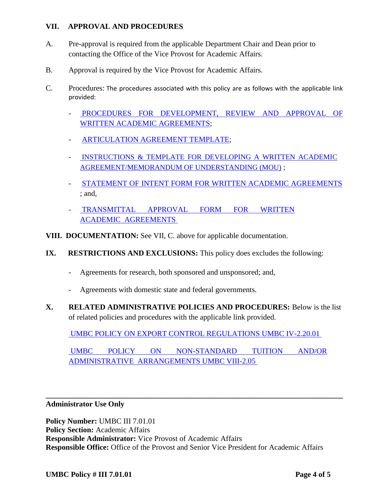## **VII. APPROVAL AND PROCEDURES**

- A. Pre-approval is required from the applicable Department Chair and Dean prior to contacting the Office of the Vice Provost for Academic Affairs.
- B. Approval is required by the Vice Provost for Academic Affairs.
- C. Procedures: The procedures associated with this policy are as follows with the applicable link provided:
	- PROCEDURES FOR DEVELOPMENT, REVIEW AND APPROVAL OF [WRITTEN ACADEMIC AGREEMENTS](http://provost.umbc.edu/files/2015/05/Procedures_for_Development_and_Approval-Written_Academic_Agreements.doc);
	- [ARTICULATION AGREEMENT TEMPLATE](http://provost.umbc.edu/files/2015/05/Articulation_Agreement_Template.doc);
	- INSTRUCTIONS & TEMPLATE FOR DEVELOPING A WRITTEN ACADEMIC [AGREEMENT/MEMORANDUM OF UNDERSTANDING \(MOU\)](http://provost.umbc.edu/files/2015/05/Instructions_and_Template_for_MOU.doc) ;
	- [STATEMENT OF INTENT FORM FOR WRITTEN ACADEMIC AGREEMENTS](http://provost.umbc.edu/files/2015/05/Statement_of_Intent_Form_for_Academic_Agreement.doc) ; and,
	- [TRANSMITTAL APPROVAL FORM FOR WRITTEN](http://provost.umbc.edu/files/2015/05/Transmittal_Form_for_Approval_of_Academic_Agreements.doc)  [ACADEMIC AGREEMENTS](http://provost.umbc.edu/files/2015/05/Transmittal_Form_for_Approval_of_Academic_Agreements.doc)
- **VIII. DOCUMENTATION:** See VII, C. above for applicable documentation.
- **IX. RESTRICTIONS AND EXCLUSIONS:** This policy does excludes the following:
	- Agreements for research, both sponsored and unsponsored; and,
	- Agreements with domestic state and federal governments.
- **X. RELATED ADMINISTRATIVE POLICIES AND PROCEDURES:** Below is the list of related policies and procedures with the applicable link provided.

UMBC [POLICY ON EXPORT CONTROL REGULATIONS UMBC IV-2.20.01](http://www.umbc.edu/policies/pdfs/IV-2.20.01%20Export%20Control%20Policy.pdf)

[UMBC POLICY ON NON-STANDARD TUITION AND/OR](http://www.umbc.edu/policies/pdfs/VIII_2.05%20Non%20Standard%20Tuition%20Policy.pdf)  [ADMINISTRATIVE ARRANGEMENTS UMBC VIII-2.05](http://www.umbc.edu/policies/pdfs/VIII_2.05%20Non%20Standard%20Tuition%20Policy.pdf)

#### **\_\_\_\_\_\_\_\_\_\_\_\_\_\_\_\_\_\_\_\_\_\_\_\_\_\_\_\_\_\_\_\_\_\_\_\_\_\_\_\_\_\_\_\_\_\_\_\_\_\_\_\_\_\_\_\_\_\_\_\_\_\_\_\_\_\_\_\_\_\_\_\_\_\_\_\_\_\_ Administrator Use Only**

**Policy Number:** *UMBC III* **7.01.01 Policy Section:** Academic Affairs **Responsible Administrator:** Vice Provost of Academic Affairs **Responsible Office:** Office of the Provost and Senior Vice President for Academic Affairs